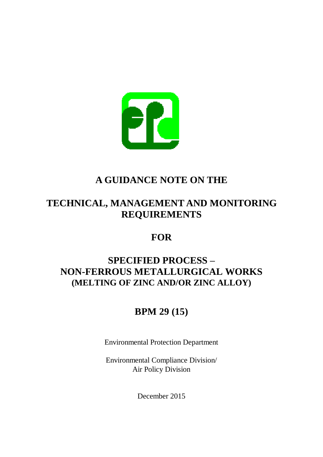

# **A GUIDANCE NOTE ON THE**

# **TECHNICAL, MANAGEMENT AND MONITORING REQUIREMENTS**

# **FOR**

# **SPECIFIED PROCESS – NON-FERROUS METALLURGICAL WORKS (MELTING OF ZINC AND/OR ZINC ALLOY)**

# **BPM 29 (15)**

**Protection Department** 

Compliance Division/ Policy Division Environmental Protection Department<br>Environmental Compliance Division/<br>Air Policy Division<br>December 2015

December 2015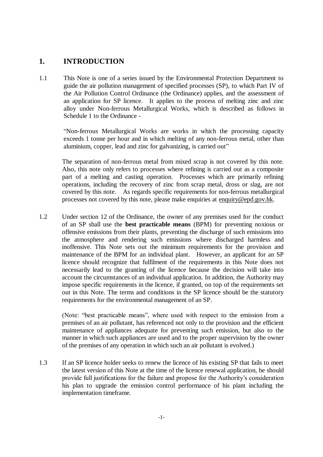## **1. INTRODUCTION**

 guide the air pollution management of specified processes (SP), to which Part IV of the Air Pollution Control Ordinance (the Ordinance) applies, and the assessment of an application for SP licence. It applies to the process of melting zinc and zinc alloy under Non-ferrous Metallurgical Works, which is described as follows in Schedule 1 to the Ordinance This Note is one of a series issued by the Environmental Protection Department to

 "Non-ferrous Metallurgical Works are works in which the processing capacity exceeds 1 tonne per hour and in which melting of any non-ferrous metal, other than aluminium, copper, lead and zinc for galvanizing, is carried out"

 Also, this note only refers to processes where refining is carried out as a composite part of a melting and casting operation. Processes which are primarily refining operations, including the recovery of zinc from scrap metal, dross or slag, are not covered by this note. As regards specific requirements for non-ferrous metallurgical processes not covered by this note, please make enquiries at [enquiry@epd.gov.hk.](mailto:enquiry@epd.gov.hk) The separation of non-ferrous metal from mixed scrap is not covered by this note.

 of an SP shall use the **best practicable means** (BPM) for preventing noxious or offensive emissions from their plants, preventing the discharge of such emissions into the atmosphere and rendering such emissions where discharged harmless and inoffensive. This Note sets out the minimum requirements for the provision and maintenance of the BPM for an individual plant. However, an applicant for an SP licence should recognize that fulfilment of the requirements in this Note does not necessarily lead to the granting of the licence because the decision will take into account the circumstances of an individual application. In addition, the Authority may impose specific requirements in the licence, if granted, on top of the requirements set out in this Note. The terms and conditions in the SP licence should be the statutory requirements for the environmental management of an SP. Under section 12 of the Ordinance, the owner of any premises used for the conduct

 (Note: "best practicable means", where used with respect to the emission from a premises of an air pollutant, has referenced not only to the provision and the efficient maintenance of appliances adequate for preventing such emission, but also to the manner in which such appliances are used and to the proper supervision by the owner of the premises of any operation in which such an air pollutant is evolved.)

 the latest version of this Note at the time of the licence renewal application, he should provide full justifications for the failure and propose for the Authority's consideration his plan to upgrade the emission control performance of his plant including the implementation timeframe. If an SP licence holder seeks to renew the licence of his existing SP that fails to meet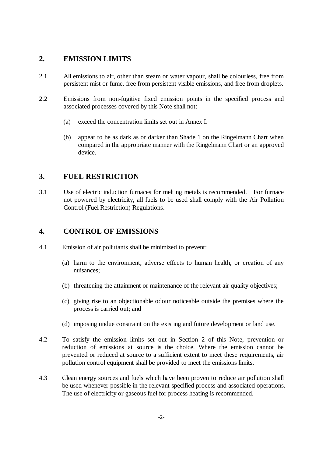## **2.EMISSION LIMITS**

- 2.1 All emissions to air, other than steam or water vapour, shall be colourless, free from persistent mist or fume, free from persistent visible emissions, and free from droplets.
- 2.2Emissions from non-fugitive fixed emission points in the specified process and associated processes covered by this Note shall not:  $2.2$ 
	- (a) exceed the concentration limits set out in Annex I.  $(a)$
	- compared in the appropriate manner with the Ringelmann Chart or an approved appear to be as dark as or darker than Shade 1 on the Ringelmann Chart when device.

## **3.FUEL RESTRICTION**

 not powered by electricity, all fuels to be used shall comply with the Air Pollution Control (Fuel Restriction) Regulations. Use of electric induction furnaces for melting metals is recommended. For furnace

#### **4.CONTROL OF EMISSIONS**   $\boldsymbol{\Lambda}$ .

- 4.1Emission of air pollutants shall be minimized to prevent:  $4.1$ 
	- (a) harm to the environment, adverse effects to human health, or creation of any nuisances;
	- (b) threatening the attainment or maintenance of the relevant air quality objectives;
	- (c) giving rise to an objectionable odour noticeable outside the premises where the process is carried out; and
	- (d) imposing undue constraint on the existing and future development or land use.
- reduction of emissions at source is the choice. Where the emission cannot be prevented or reduced at source to a sufficient extent to meet these requirements, air pollution control equipment shall be provided to meet the emissions limits. 4.2To satisfy the emission limits set out in Section 2 of this Note, prevention or
- be used whenever possible in the relevant specified process and associated operations. The use of electricity or gaseous fuel for process heating is recommended. Clean energy sources and fuels which have been proven to reduce air pollution shall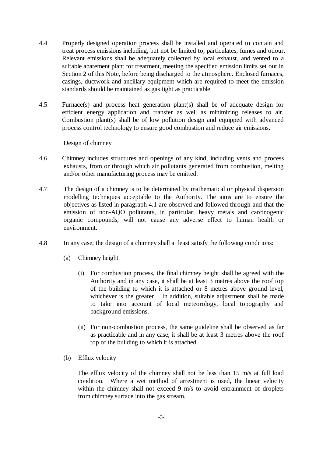- 4.4 Properly designed operation process shall be installed and operated to contain and treat process emissions including, but not be limited to, particulates, fumes and odour. Relevant emissions shall be adequately collected by local exhaust, and vented to a suitable abatement plant for treatment, meeting the specified emission limits set out in Section 2 of this Note, before being discharged to the atmosphere. Enclosed furnaces, casings, ductwork and ancillary equipment which are required to meet the emission standards should be maintained as gas tight as practicable.  $4.4$
- $4.5$  Furnace(s) and process heat generation plant(s) shall be of adequate design for efficient energy application and transfer as well as minimizing releases to air. Combustion plant(s) shall be of low pollution design and equipped with advanced process control technology to ensure good combustion and reduce air emissions.  $4.5$

### Design of chimney

- 4.6 Chimney includes structures and openings of any kind, including vents and process exhausts, from or through which air pollutants generated from combustion, melting and/or other manufacturing process may be emitted.  $4.6$
- modelling techniques acceptable to the Authority. The aims are to ensure the objectives as listed in paragraph 4.1 are observed and followed through and that the emission of non-AQO pollutants, in particular, heavy metals and carcinogenic organic compounds, will not cause any adverse effect to human health or The design of a chimney is to be determined by mathematical or physical dispersion environment.
- In any case, the design of a chimney shall at least satisfy the following conditions:
	- (a) Chimney height
		- (i) For combustion process, the final chimney height shall be agreed with the Authority and in any case, it shall be at least 3 metres above the roof top of the building to which it is attached or 8 metres above ground level, whichever is the greater. In addition, suitable adjustment shall be made to take into account of local meteorology, local topography and background emissions.
		- (ii) For non-combustion process, the same guideline shall be observed as far as practicable and in any case, it shall be at least 3 metres above the roof top of the building to which it is attached.
	- (b) Efflux velocity

 condition. Where a wet method of arrestment is used, the linear velocity within the chimney shall not exceed 9 m/s to avoid entrainment of droplets from chimney surface into the gas stream. The efflux velocity of the chimney shall not be less than 15 m/s at full load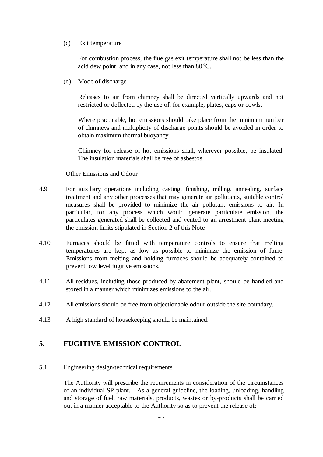### (c) Exit temperature

acid dew point, and in any case, not less than 80 °C. For combustion process, the flue gas exit temperature shall not be less than the

(d) Mode of discharge

 Releases to air from chimney shall be directed vertically upwards and not restricted or deflected by the use of, for example, plates, caps or cowls.

 Where practicable, hot emissions should take place from the minimum number of chimneys and multiplicity of discharge points should be avoided in order to obtain maximum thermal buoyancy.

 Chimney for release of hot emissions shall, wherever possible, be insulated. The insulation materials shall be free of asbestos.

### **Other Emissions and Odour**

- treatment and any other processes that may generate air pollutants, suitable control measures shall be provided to minimize the air pollutant emissions to air. In particular, for any process which would generate particulate emission, the particulates generated shall be collected and vented to an arrestment plant meeting the emission limits stipulated in Section 2 of this Note 4.9For auxiliary operations including casting, finishing, milling, annealing, surface
- 4.10 Furnaces should be fitted with temperature controls to ensure that melting temperatures are kept as low as possible to minimize the emission of fume. Emissions from melting and holding furnaces should be adequately contained to prevent low level fugitive emissions.  $4.10$
- stored in a manner which minimizes emissions to the air. All residues, including those produced by abatement plant, should be handled and
- All emissions should be free from objectionable odour outside the site boundary.
- 4.13A high standard of housekeeping should be maintained.

# **5. FUGITIVE EMISSION CONTROL**

### 5.1 Engineering design/technical requirements

 The Authority will prescribe the requirements in consideration of the circumstances of an individual SP plant. As a general guideline, the loading, unloading, handling and storage of fuel, raw materials, products, wastes or by-products shall be carried out in a manner acceptable to the Authority so as to prevent the release of: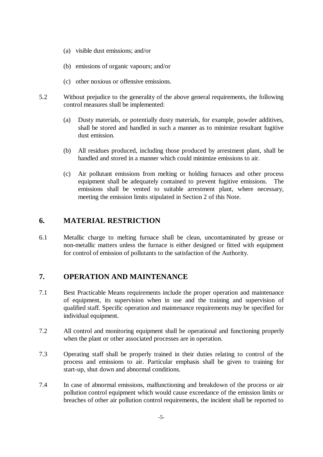- (a) visible dust emissions; and/or
- (b) emissions of organic vapours; and/or
- (c) other noxious or offensive emissions.
- 5.2 Without prejudice to the generality of the above general requirements, the following control measures shall be implemented:  $52$ 
	- (a) Dusty materials, or potentially dusty materials, for example, powder additives, shall be stored and handled in such a manner as to minimize resultant fugitive dust emission.  $(a)$
	- (b)All residues produced, including those produced by arrestment plant, shall be handled and stored in a manner which could minimize emissions to air.  $(b)$
	- (c)Air pollutant emissions from melting or holding furnaces and other process equipment shall be adequately contained to prevent fugitive emissions. The emissions shall be vented to suitable arrestment plant, where necessary, meeting the emission limits stipulated in Section 2 of this Note.  $(c)$

#### 6. **6.MATERIAL RESTRICTION**

6.1 Metallic charge to melting furnace shall be clean, uncontaminated by grease or non-metallic matters unless the furnace is either designed or fitted with equipment for control of emission of pollutants to the satisfaction of the Authority.  $6.1$ 

#### $\overline{7}$ . **7.OPERATION AND MAINTENANCE**

- of equipment, its supervision when in use and the training and supervision of qualified staff. Specific operation and maintenance requirements may be specified for individual equipment. 7.1 Best Practicable Means requirements include the proper operation and maintenance
- when the plant or other associated processes are in operation. 7.2 All control and monitoring equipment shall be operational and functioning properly
- 7.3 Operating staff shall be properly trained in their duties relating to control of the process and emissions to air. Particular emphasis shall be given to training for start-up, shut down and abnormal conditions.
- pollution control equipment which would cause exceedance of the emission limits or breaches of other air pollution control requirements, the incident shall be reported to 7.4 In case of abnormal emissions, malfunctioning and breakdown of the process or air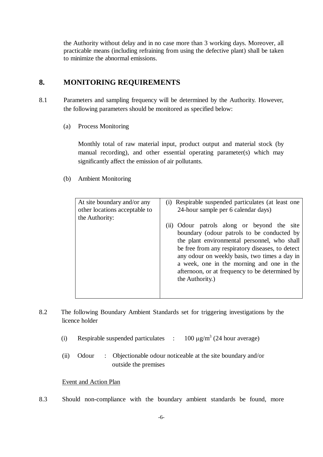the Authority without delay and in no case more than 3 working days. Moreover, all practicable means (including refraining from using the defective plant) shall be taken to minimize the abnormal emissions.

#### $\mathbf{8}$ . **8.MONITORING REQUIREMENTS**

- 8.1 Parameters and sampling frequency will be determined by the Authority. However, the following parameters should be monitored as specified below:
	- $(a)$ Process Monitoring

 Monthly total of raw material input, product output and material stock (by manual recording), and other essential operating parameter(s) which may significantly affect the emission of air pollutants.

(b) Ambient Monitoring

| At site boundary and/or any<br>other locations acceptable to<br>the Authority: | Respirable suspended particulates (at least one<br>(1)<br>24-hour sample per 6 calendar days)<br>(ii) Odour patrols along or beyond the site<br>boundary (odour patrols to be conducted by<br>the plant environmental personnel, who shall<br>be free from any respiratory diseases, to detect<br>any odour on weekly basis, two times a day in<br>a week, one in the morning and one in the<br>afternoon, or at frequency to be determined by<br>the Authority.) |
|--------------------------------------------------------------------------------|-------------------------------------------------------------------------------------------------------------------------------------------------------------------------------------------------------------------------------------------------------------------------------------------------------------------------------------------------------------------------------------------------------------------------------------------------------------------|
|                                                                                |                                                                                                                                                                                                                                                                                                                                                                                                                                                                   |

- 8.2 The following Boundary Ambient Standards set for triggering investigations by the 8.2 licence holder
	- (i) Respirable suspended particulates :  $100 \mu g/m^3$  (24 hour average)
	- Odour outside the premises  $(ii)$ : Objectionable odour noticeable at the site boundary and/or

### Event and Action Plan

8.3 Should non-compliance with the boundary ambient standards be found, more 8.3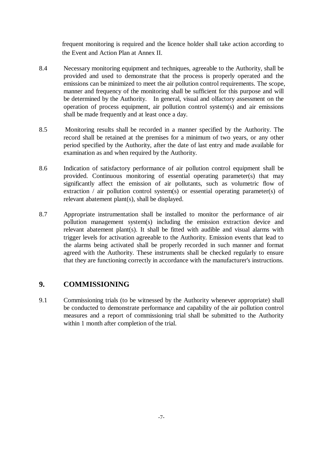frequent monitoring is required and the licence holder shall take action according to the Event and Action Plan at Annex II.

- 8.4 Necessary monitoring equipment and techniques, agreeable to the Authority, shall be provided and used to demonstrate that the process is properly operated and the emissions can be minimized to meet the air pollution control requirements. The scope, manner and frequency of the monitoring shall be sufficient for this purpose and will be determined by the Authority. In general, visual and olfactory assessment on the operation of process equipment, air pollution control system(s) and air emissions shall be made frequently and at least once a day. 8.4
- record shall be retained at the premises for a minimum of two years, or any other period specified by the Authority, after the date of last entry and made available for examination as and when required by the Authority. 8.5Monitoring results shall be recorded in a manner specified by the Authority. The
- 8.6 Indication of satisfactory performance of air pollution control equipment shall be provided. Continuous monitoring of essential operating parameter(s) that may significantly affect the emission of air pollutants, such as volumetric flow of extraction / air pollution control system(s) or essential operating parameter(s) of relevant abatement plant(s), shall be displayed. 8.6
- pollution management system(s) including the emission extraction device and relevant abatement plant(s). It shall be fitted with audible and visual alarms with trigger levels for activation agreeable to the Authority. Emission events that lead to the alarms being activated shall be properly recorded in such manner and format agreed with the Authority. These instruments shall be checked regularly to ensure that they are functioning correctly in accordance with the manufacturer's instructions. 8.7Appropriate instrumentation shall be installed to monitor the performance of air

#### $9.$ **9.COMMISSIONING**

9.1 Commissioning trials (to be witnessed by the Authority whenever appropriate) shall be conducted to demonstrate performance and capability of the air pollution control measures and a report of commissioning trial shall be submitted to the Authority within 1 month after completion of the trial.  $9.1$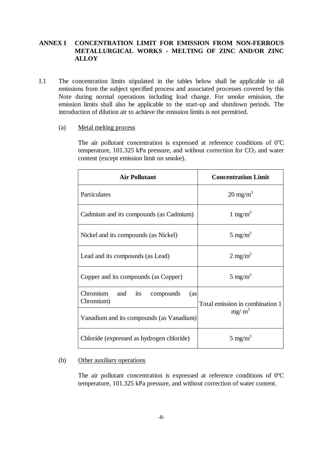### **ANNEX I CONCENTRATION LIMIT FOR EMISSION FROM NON-FERROUS METALLURGICAL WORKS - MELTING OF ZINC AND/OR ZINC ALLOY**

- emissions from the subject specified process and associated processes covered by this Note during normal operations including load change. For smoke emission, the emission limits shall also be applicable to the start-up and shutdown periods. The introduction of dilution air to achieve the emission limits is not permitted. The concentration limits stipulated in the tables below shall be applicable to all
	- $(a)$ Metal melting process

The air pollutant concentration is expressed at reference conditions of  $0^{\circ}$ C temperature, 101.325 kPa pressure, and without correction for  $CO<sub>2</sub>$  and water content (except emission limit on smoke).

| <b>Air Pollutant</b>                                                                                                                         | <b>Concentration Limit</b> |
|----------------------------------------------------------------------------------------------------------------------------------------------|----------------------------|
| Particulates                                                                                                                                 | $20 \text{ mg/m}^3$        |
| Cadmium and its compounds (as Cadmium)                                                                                                       | 1 mg/m <sup>3</sup>        |
| Nickel and its compounds (as Nickel)                                                                                                         | $5 \text{ mg/m}^3$         |
| Lead and its compounds (as Lead)                                                                                                             | $2 \text{ mg/m}^3$         |
| Copper and its compounds (as Copper)                                                                                                         | $5 \text{ mg/m}^3$         |
| Chromium and its<br>compounds<br>(as<br>Chromium)<br>Total emission in combination 1<br>$mg/m^3$<br>Vanadium and its compounds (as Vanadium) |                            |
|                                                                                                                                              |                            |

#### (b) Other auxiliary operations  $(b)$

The air pollutant concentration is expressed at reference conditions of  $0^{\circ}$ C temperature, 101.325 kPa pressure, and without correction of water content.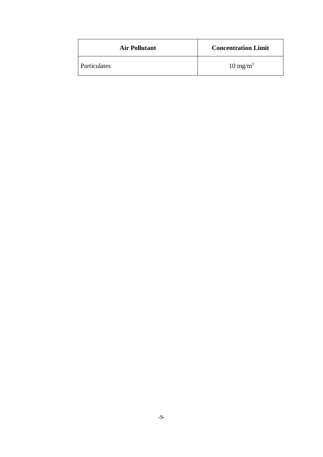| <b>Air Pollutant</b> | <b>Concentration Limit</b> |
|----------------------|----------------------------|
| Particulates         | $10 \text{ mg/m}^3$        |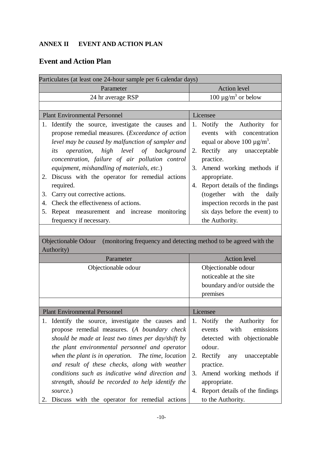## **ANNEX II EVENT AND ACTION PLAN**

# **Event and Action Plan**

| Particulates (at least one 24-hour sample per 6 calendar days)                          |                                                           |
|-----------------------------------------------------------------------------------------|-----------------------------------------------------------|
| Parameter                                                                               | <b>Action level</b>                                       |
| 24 hr average RSP                                                                       | 100 $\mu$ g/m <sup>3</sup> or below                       |
|                                                                                         |                                                           |
| <b>Plant Environmental Personnel</b>                                                    | Licensee                                                  |
| 1. Identify the source, investigate the causes and                                      | 1. Notify the Authority for                               |
| propose remedial measures. ( <i>Exceedance of action</i>                                | events with<br>concentration                              |
| level may be caused by malfunction of sampler and                                       | equal or above 100 $\mu$ g/m <sup>3</sup> .               |
| high level of background<br><i>operation,</i><br>its                                    | Rectify any unacceptable<br>2.                            |
| concentration, failure of air pollution control                                         | practice.                                                 |
| equipment, mishandling of materials, etc.)                                              | Amend working methods if<br>3.                            |
| Discuss with the operator for remedial actions<br>2.                                    | appropriate.                                              |
| required.                                                                               | Report details of the findings<br>4.                      |
| Carry out corrective actions.<br>3.                                                     | (together with the<br>daily                               |
| Check the effectiveness of actions.<br>4.                                               | inspection records in the past                            |
| Repeat measurement and increase monitoring<br>5.                                        | six days before the event) to                             |
| frequency if necessary.                                                                 | the Authority.                                            |
|                                                                                         |                                                           |
| (monitoring frequency and detecting method to be agreed with the<br>Objectionable Odour |                                                           |
| Authority)                                                                              |                                                           |
| Parameter                                                                               | <b>Action</b> level                                       |
| Objectionable odour                                                                     | Objectionable odour                                       |
|                                                                                         | noticeable at the site                                    |
|                                                                                         |                                                           |
|                                                                                         | boundary and/or outside the                               |
|                                                                                         | premises                                                  |
|                                                                                         |                                                           |
| <b>Plant Environmental Personnel</b>                                                    | Licensee                                                  |
| Identify the source, investigate the causes and<br>1.                                   | Notify the Authority for<br>1.                            |
| propose remedial measures. (A boundary check                                            | with<br>emissions<br>events                               |
| should be made at least two times per day/shift by                                      | detected with objectionable                               |
| the plant environmental personnel and operator                                          | odour.                                                    |
| when the plant is in operation. The time, location                                      | Rectify<br>any<br>unacceptable<br>2.                      |
| and result of these checks, along with weather                                          | practice.                                                 |
| conditions such as indicative wind direction and                                        | Amend working methods if<br>3.                            |
| strength, should be recorded to help identify the                                       | appropriate.                                              |
| source.)<br>Discuss with the operator for remedial actions<br>2.                        | Report details of the findings<br>4.<br>to the Authority. |